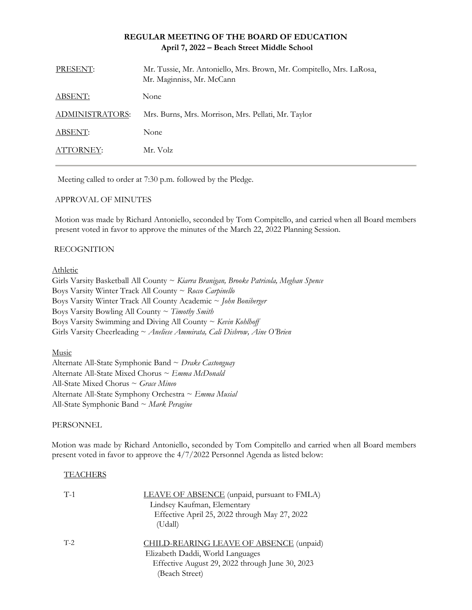## **REGULAR MEETING OF THE BOARD OF EDUCATION April 7, 2022 – Beach Street Middle School**

| PRESENT:        | Mr. Tussie, Mr. Antoniello, Mrs. Brown, Mr. Compitello, Mrs. LaRosa,<br>Mr. Maginniss, Mr. McCann |
|-----------------|---------------------------------------------------------------------------------------------------|
| ABSENT:         | None                                                                                              |
| ADMINISTRATORS: | Mrs. Burns, Mrs. Morrison, Mrs. Pellati, Mr. Taylor                                               |
| ABSENT:         | None                                                                                              |
| ATTORNEY:       | Mr. Volz                                                                                          |

Meeting called to order at 7:30 p.m. followed by the Pledge.

### APPROVAL OF MINUTES

Motion was made by Richard Antoniello, seconded by Tom Compitello, and carried when all Board members present voted in favor to approve the minutes of the March 22, 2022 Planning Session.

### RECOGNITION

### Athletic

Girls Varsity Basketball All County ~ *Kiarra Branigan, Brooke Patricola, Meghan Spence* Boys Varsity Winter Track All County ~ *Rocco Carpinello* Boys Varsity Winter Track All County Academic ~ *John Boniberger* Boys Varsity Bowling All County ~ *Timothy Smith* Boys Varsity Swimming and Diving All County ~ *Kevin Kohlhoff* Girls Varsity Cheerleading ~ *Aneliese Ammirata, Cali Disbrow, Aine O'Brien*

Music

Alternate All-State Symphonic Band ~ *Drake Castonguay* Alternate All-State Mixed Chorus ~ *Emma McDonald* All-State Mixed Chorus ~ *Grace Mineo* Alternate All-State Symphony Orchestra ~ *Emma Musial* All-State Symphonic Band ~ *Mark Peragine*

### PERSONNEL

Motion was made by Richard Antoniello, seconded by Tom Compitello and carried when all Board members present voted in favor to approve the 4/7/2022 Personnel Agenda as listed below:

## **TEACHERS**

| $T-1$ | LEAVE OF ABSENCE (unpaid, pursuant to FMLA)<br>Lindsey Kaufman, Elementary<br>Effective April 25, 2022 through May 27, 2022 |
|-------|-----------------------------------------------------------------------------------------------------------------------------|
| $T-2$ | (Udall)<br>CHILD-REARING LEAVE OF ABSENCE (unpaid)                                                                          |
|       | Elizabeth Daddi, World Languages<br>Effective August 29, 2022 through June 30, 2023<br>(Beach Street)                       |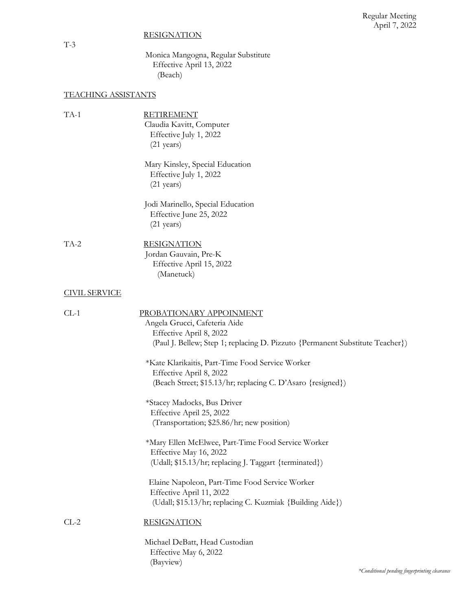*\*Conditional pending fingerprinting clearance*

# **RESIGNATION**

# TEACHING ASSISTANTS

| $TA-1$               | <b>RETIREMENT</b><br>Claudia Kavitt, Computer<br>Effective July 1, 2022<br>$(21 \text{ years})$                                                                      |
|----------------------|----------------------------------------------------------------------------------------------------------------------------------------------------------------------|
|                      | Mary Kinsley, Special Education<br>Effective July 1, 2022<br>$(21 \text{ years})$                                                                                    |
|                      | Jodi Marinello, Special Education<br>Effective June 25, 2022<br>$(21 \text{ years})$                                                                                 |
| TA-2                 | <b>RESIGNATION</b><br>Jordan Gauvain, Pre-K<br>Effective April 15, 2022<br>(Manetuck)                                                                                |
| <b>CIVIL SERVICE</b> |                                                                                                                                                                      |
| $CL-1$               | PROBATIONARY APPOINMENT<br>Angela Grucci, Cafeteria Aide<br>Effective April 8, 2022<br>(Paul J. Bellew; Step 1; replacing D. Pizzuto {Permanent Substitute Teacher}) |
|                      | *Kate Klarikaitis, Part-Time Food Service Worker<br>Effective April 8, 2022<br>(Beach Street; \$15.13/hr; replacing C. D'Asaro {resigned})                           |
|                      | *Stacey Madocks, Bus Driver<br>Effective April 25, 2022<br>(Transportation; \$25.86/hr; new position)                                                                |
|                      | *Mary Ellen McElwee, Part-Time Food Service Worker<br>Effective May 16, 2022<br>(Udall; \$15.13/hr; replacing J. Taggart {terminated})                               |
|                      | Elaine Napoleon, Part-Time Food Service Worker<br>Effective April 11, 2022<br>(Udall; \$15.13/hr; replacing C. Kuzmiak {Building Aide})                              |
| $CL-2$               | <b>RESIGNATION</b>                                                                                                                                                   |
|                      | Michael DeBatt, Head Custodian<br>Effective May 6, 2022<br>(Bayview)                                                                                                 |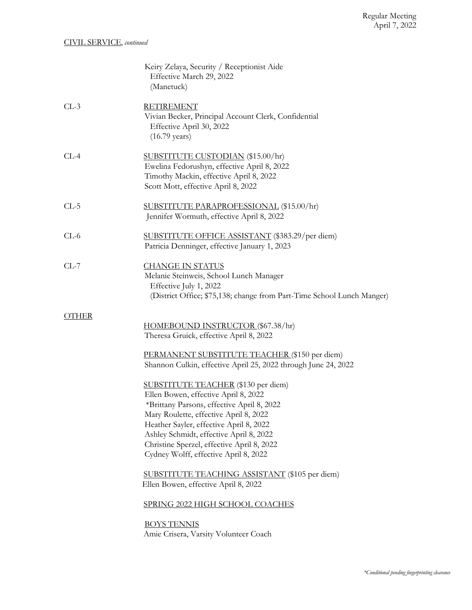|        | Keiry Zelaya, Security / Receptionist Aide<br>Effective March 29, 2022<br>(Manetuck)                                                                                                                                                                                                                                                             |
|--------|--------------------------------------------------------------------------------------------------------------------------------------------------------------------------------------------------------------------------------------------------------------------------------------------------------------------------------------------------|
| $CL-3$ | <b>RETIREMENT</b><br>Vivian Becker, Principal Account Clerk, Confidential<br>Effective April 30, 2022<br>$(16.79 \text{ years})$                                                                                                                                                                                                                 |
| $CL-4$ | SUBSTITUTE CUSTODIAN (\$15.00/hr)<br>Ewelina Fedorushyn, effective April 8, 2022<br>Timothy Mackin, effective April 8, 2022<br>Scott Mott, effective April 8, 2022                                                                                                                                                                               |
| $CL-5$ | SUBSTITUTE PARAPROFESSIONAL (\$15.00/hr)<br>Jennifer Wormuth, effective April 8, 2022                                                                                                                                                                                                                                                            |
| $CL-6$ | SUBSTITUTE OFFICE ASSISTANT (\$383.29/per diem)<br>Patricia Denninger, effective January 1, 2023                                                                                                                                                                                                                                                 |
| $CL-7$ | <u>CHANGE IN STATUS</u><br>Melanie Steinweis, School Lunch Manager<br>Effective July 1, 2022<br>(District Office; \$75,138; change from Part-Time School Lunch Manger)                                                                                                                                                                           |
| OTHER  | HOMEBOUND INSTRUCTOR (\$67.38/hr)<br>Theresa Gruick, effective April 8, 2022                                                                                                                                                                                                                                                                     |
|        | PERMANENT SUBSTITUTE TEACHER (\$150 per diem)<br>Shannon Culkin, effective April 25, 2022 through June 24, 2022                                                                                                                                                                                                                                  |
|        | SUBSTITUTE TEACHER (\$130 per diem)<br>Ellen Bowen, effective April 8, 2022<br>*Brittany Parsons, effective April 8, 2022<br>Mary Roulette, effective April 8, 2022<br>Heather Sayler, effective April 8, 2022<br>Ashley Schmidt, effective April 8, 2022<br>Christine Sperzel, effective April 8, 2022<br>Cydney Wolff, effective April 8, 2022 |
|        | SUBSTITUTE TEACHING ASSISTANT (\$105 per diem)<br>Ellen Bowen, effective April 8, 2022                                                                                                                                                                                                                                                           |
|        | SPRING 2022 HIGH SCHOOL COACHES                                                                                                                                                                                                                                                                                                                  |
|        | <b>BOYS TENNIS</b><br>Amie Crisera, Varsity Volunteer Coach                                                                                                                                                                                                                                                                                      |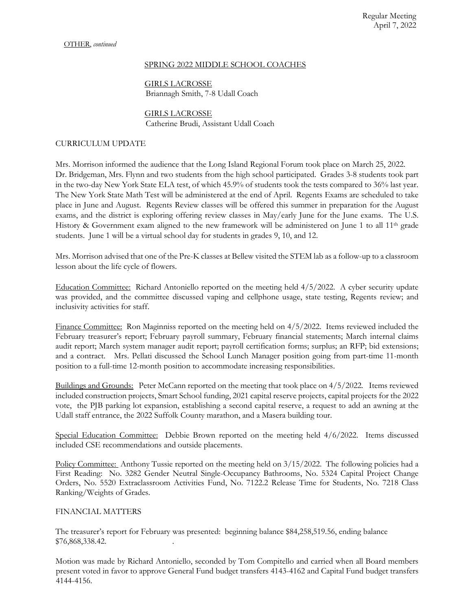#### SPRING 2022 MIDDLE SCHOOL COACHES

GIRLS LACROSSE Briannagh Smith, 7-8 Udall Coach

### GIRLS LACROSSE Catherine Brudi, Assistant Udall Coach

## CURRICULUM UPDATE

Mrs. Morrison informed the audience that the Long Island Regional Forum took place on March 25, 2022. Dr. Bridgeman, Mrs. Flynn and two students from the high school participated. Grades 3-8 students took part in the two-day New York State ELA test, of which 45.9% of students took the tests compared to 36% last year. The New York State Math Test will be administered at the end of April. Regents Exams are scheduled to take place in June and August. Regents Review classes will be offered this summer in preparation for the August exams, and the district is exploring offering review classes in May/early June for the June exams. The U.S. History & Government exam aligned to the new framework will be administered on June 1 to all 11<sup>th</sup> grade students. June 1 will be a virtual school day for students in grades 9, 10, and 12.

Mrs. Morrison advised that one of the Pre-K classes at Bellew visited the STEM lab as a follow-up to a classroom lesson about the life cycle of flowers.

Education Committee: Richard Antoniello reported on the meeting held 4/5/2022. A cyber security update was provided, and the committee discussed vaping and cellphone usage, state testing, Regents review; and inclusivity activities for staff.

Finance Committee: Ron Maginniss reported on the meeting held on 4/5/2022. Items reviewed included the February treasurer's report; February payroll summary, February financial statements; March internal claims audit report; March system manager audit report; payroll certification forms; surplus; an RFP; bid extensions; and a contract. Mrs. Pellati discussed the School Lunch Manager position going from part-time 11-month position to a full-time 12-month position to accommodate increasing responsibilities.

Buildings and Grounds: Peter McCann reported on the meeting that took place on 4/5/2022*.* Items reviewed included construction projects, Smart School funding, 2021 capital reserve projects, capital projects for the 2022 vote, the PJB parking lot expansion, establishing a second capital reserve, a request to add an awning at the Udall staff entrance, the 2022 Suffolk County marathon, and a Masera building tour.

Special Education Committee: Debbie Brown reported on the meeting held  $4/6/2022$ . Items discussed included CSE recommendations and outside placements.

Policy Committee: Anthony Tussie reported on the meeting held on 3/15/2022. The following policies had a First Reading: No. 3282 Gender Neutral Single-Occupancy Bathrooms, No. 5324 Capital Project Change Orders, No. 5520 Extraclassroom Activities Fund, No. 7122.2 Release Time for Students, No. 7218 Class Ranking/Weights of Grades.

### FINANCIAL MATTERS

The treasurer's report for February was presented: beginning balance \$84,258,519.56, ending balance \$76,868,338.42. .

Motion was made by Richard Antoniello, seconded by Tom Compitello and carried when all Board members present voted in favor to approve General Fund budget transfers 4143-4162 and Capital Fund budget transfers 4144-4156.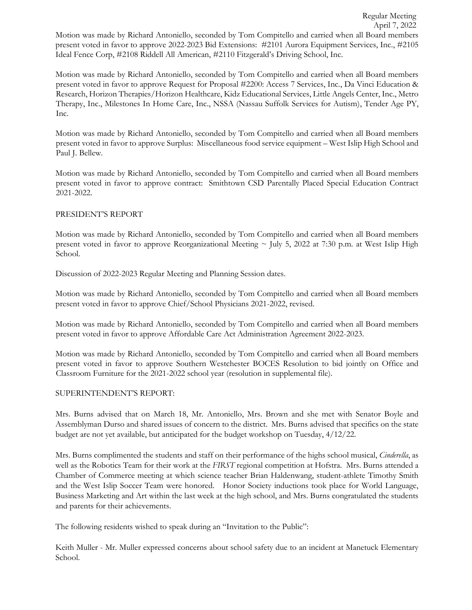Motion was made by Richard Antoniello, seconded by Tom Compitello and carried when all Board members present voted in favor to approve Request for Proposal #2200: Access 7 Services, Inc., Da Vinci Education & Research, Horizon Therapies/Horizon Healthcare, Kidz Educational Services, Little Angels Center, Inc., Metro Therapy, Inc., Milestones In Home Care, Inc., NSSA (Nassau Suffolk Services for Autism), Tender Age PY, Inc.

Motion was made by Richard Antoniello, seconded by Tom Compitello and carried when all Board members present voted in favor to approve Surplus: Miscellaneous food service equipment – West Islip High School and Paul J. Bellew.

Motion was made by Richard Antoniello, seconded by Tom Compitello and carried when all Board members present voted in favor to approve contract: Smithtown CSD Parentally Placed Special Education Contract 2021-2022.

## PRESIDENT'S REPORT

Motion was made by Richard Antoniello, seconded by Tom Compitello and carried when all Board members present voted in favor to approve Reorganizational Meeting  $\sim$  July 5, 2022 at 7:30 p.m. at West Islip High School.

Discussion of 2022-2023 Regular Meeting and Planning Session dates.

Motion was made by Richard Antoniello, seconded by Tom Compitello and carried when all Board members present voted in favor to approve Chief/School Physicians 2021-2022, revised.

Motion was made by Richard Antoniello, seconded by Tom Compitello and carried when all Board members present voted in favor to approve Affordable Care Act Administration Agreement 2022-2023.

Motion was made by Richard Antoniello, seconded by Tom Compitello and carried when all Board members present voted in favor to approve Southern Westchester BOCES Resolution to bid jointly on Office and Classroom Furniture for the 2021-2022 school year (resolution in supplemental file).

## SUPERINTENDENT'S REPORT:

Mrs. Burns advised that on March 18, Mr. Antoniello, Mrs. Brown and she met with Senator Boyle and Assemblyman Durso and shared issues of concern to the district. Mrs. Burns advised that specifics on the state budget are not yet available, but anticipated for the budget workshop on Tuesday, 4/12/22.

Mrs. Burns complimented the students and staff on their performance of the highs school musical, *Cinderella*, as well as the Robotics Team for their work at the *FIRST* regional competition at Hofstra. Mrs. Burns attended a Chamber of Commerce meeting at which science teacher Brian Haldenwang, student-athlete Timothy Smith and the West Islip Soccer Team were honored. Honor Society inductions took place for World Language, Business Marketing and Art within the last week at the high school, and Mrs. Burns congratulated the students and parents for their achievements.

The following residents wished to speak during an "Invitation to the Public":

Keith Muller - Mr. Muller expressed concerns about school safety due to an incident at Manetuck Elementary School.